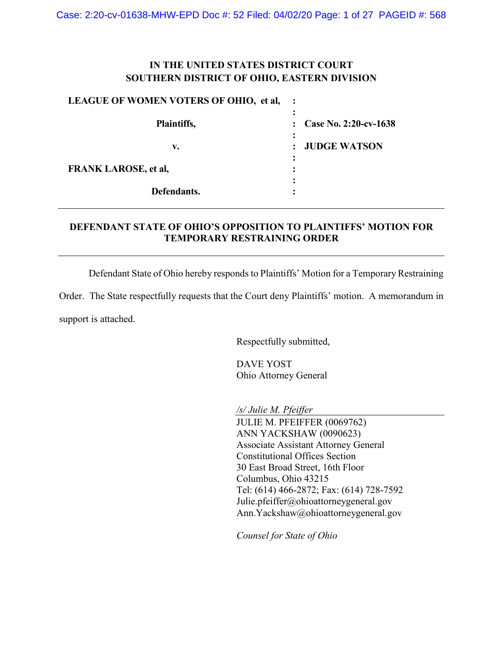# **IN THE UNITED STATES DISTRICT COURT SOUTHERN DISTRICT OF OHIO, EASTERN DIVISION**

### **LEAGUE OF WOMEN VOTERS OF OHIO, et al, :**

| Plaintiffs,                 | $\therefore$ Case No. 2:20-cv-1638    |
|-----------------------------|---------------------------------------|
| v.                          | <b>JUDGE WATSON</b><br>$\ddot{\cdot}$ |
| <b>FRANK LAROSE, et al,</b> |                                       |
| Defendants.                 |                                       |

# **DEFENDANT STATE OF OHIO'S OPPOSITION TO PLAINTIFFS' MOTION FOR TEMPORARY RESTRAINING ORDER**

Defendant State of Ohio hereby responds to Plaintiffs' Motion for a Temporary Restraining

Order. The State respectfully requests that the Court deny Plaintiffs' motion. A memorandum in support is attached.

Respectfully submitted,

DAVE YOST Ohio Attorney General

*/s/ Julie M. Pfeiffer*

JULIE M. PFEIFFER (0069762) ANN YACKSHAW (0090623) Associate Assistant Attorney General Constitutional Offices Section 30 East Broad Street, 16th Floor Columbus, Ohio 43215 Tel: (614) 466-2872; Fax: (614) 728-7592 Julie.pfeiffer@ohioattorneygeneral.gov Ann.Yackshaw@ohioattorneygeneral.gov

*Counsel for State of Ohio*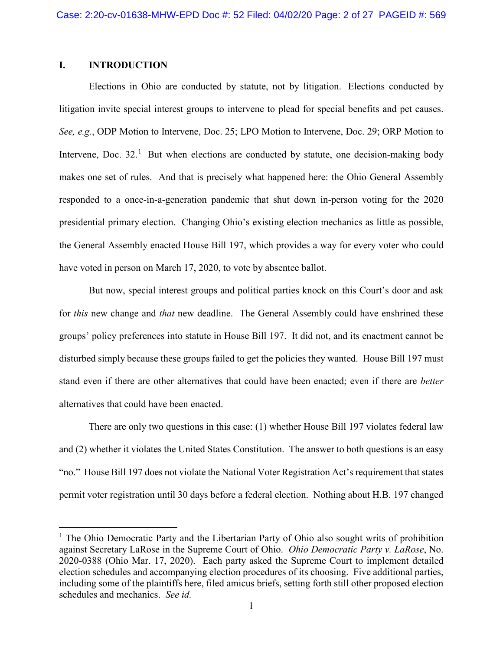## **I. INTRODUCTION**

Elections in Ohio are conducted by statute, not by litigation. Elections conducted by litigation invite special interest groups to intervene to plead for special benefits and pet causes. *See, e.g.*, ODP Motion to Intervene, Doc. 25; LPO Motion to Intervene, Doc. 29; ORP Motion to Intervene, Doc. 32.<sup>[1](#page-1-0)</sup> But when elections are conducted by statute, one decision-making body makes one set of rules. And that is precisely what happened here: the Ohio General Assembly responded to a once-in-a-generation pandemic that shut down in-person voting for the 2020 presidential primary election. Changing Ohio's existing election mechanics as little as possible, the General Assembly enacted House Bill 197, which provides a way for every voter who could have voted in person on March 17, 2020, to vote by absentee ballot.

But now, special interest groups and political parties knock on this Court's door and ask for *this* new change and *that* new deadline. The General Assembly could have enshrined these groups' policy preferences into statute in House Bill 197. It did not, and its enactment cannot be disturbed simply because these groups failed to get the policies they wanted. House Bill 197 must stand even if there are other alternatives that could have been enacted; even if there are *better*  alternatives that could have been enacted.

There are only two questions in this case: (1) whether House Bill 197 violates federal law and (2) whether it violates the United States Constitution. The answer to both questions is an easy "no." House Bill 197 does not violate the National Voter Registration Act's requirement that states permit voter registration until 30 days before a federal election. Nothing about H.B. 197 changed

<span id="page-1-0"></span> $<sup>1</sup>$  The Ohio Democratic Party and the Libertarian Party of Ohio also sought writs of prohibition</sup> against Secretary LaRose in the Supreme Court of Ohio. *Ohio Democratic Party v. LaRose*, No. 2020-0388 (Ohio Mar. 17, 2020). Each party asked the Supreme Court to implement detailed election schedules and accompanying election procedures of its choosing. Five additional parties, including some of the plaintiffs here, filed amicus briefs, setting forth still other proposed election schedules and mechanics. *See id.*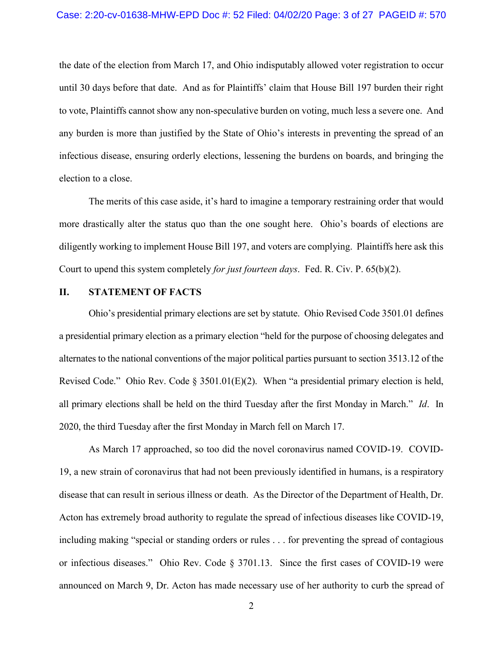the date of the election from March 17, and Ohio indisputably allowed voter registration to occur until 30 days before that date. And as for Plaintiffs' claim that House Bill 197 burden their right to vote, Plaintiffs cannot show any non-speculative burden on voting, much less a severe one. And any burden is more than justified by the State of Ohio's interests in preventing the spread of an infectious disease, ensuring orderly elections, lessening the burdens on boards, and bringing the election to a close.

The merits of this case aside, it's hard to imagine a temporary restraining order that would more drastically alter the status quo than the one sought here. Ohio's boards of elections are diligently working to implement House Bill 197, and voters are complying. Plaintiffs here ask this Court to upend this system completely *for just fourteen days*. Fed. R. Civ. P. 65(b)(2).

#### **II. STATEMENT OF FACTS**

Ohio's presidential primary elections are set by statute. Ohio Revised Code 3501.01 defines a presidential primary election as a primary election "held for the purpose of choosing delegates and alternates to the national conventions of the major political parties pursuant to section 3513.12 of the Revised Code." Ohio Rev. Code § 3501.01(E)(2). When "a presidential primary election is held, all primary elections shall be held on the third Tuesday after the first Monday in March." *Id*. In 2020, the third Tuesday after the first Monday in March fell on March 17.

As March 17 approached, so too did the novel coronavirus named COVID-19. COVID-19, a new strain of coronavirus that had not been previously identified in humans, is a respiratory disease that can result in serious illness or death. As the Director of the Department of Health, Dr. Acton has extremely broad authority to regulate the spread of infectious diseases like COVID-19, including making "special or standing orders or rules . . . for preventing the spread of contagious or infectious diseases." Ohio Rev. Code § 3701.13. Since the first cases of COVID-19 were announced on March 9, Dr. Acton has made necessary use of her authority to curb the spread of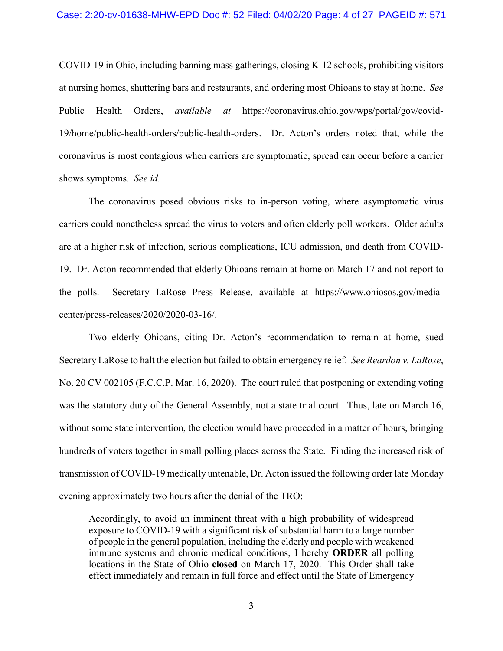COVID-19 in Ohio, including banning mass gatherings, closing K-12 schools, prohibiting visitors at nursing homes, shuttering bars and restaurants, and ordering most Ohioans to stay at home. *See*  Public Health Orders, *available at* [https://coronavirus.ohio.gov/wps/portal/gov/covid-](https://coronavirus.ohio.gov/wps/portal/gov/covid-19/home/public-health-orders/public-health-orders)[19/home/public-health-orders/public-health-orders.](https://coronavirus.ohio.gov/wps/portal/gov/covid-19/home/public-health-orders/public-health-orders) Dr. Acton's orders noted that, while the coronavirus is most contagious when carriers are symptomatic, spread can occur before a carrier shows symptoms. *See id.*

The coronavirus posed obvious risks to in-person voting, where asymptomatic virus carriers could nonetheless spread the virus to voters and often elderly poll workers. Older adults are at a higher risk of infection, serious complications, ICU admission, and death from COVID-19. Dr. Acton recommended that elderly Ohioans remain at home on March 17 and not report to the polls. Secretary LaRose Press Release, available at [https://www.ohiosos.gov/media](https://www.ohiosos.gov/media-center/press-releases/2020/2020-03-16/)[center/press-releases/2020/2020-03-16/.](https://www.ohiosos.gov/media-center/press-releases/2020/2020-03-16/)

Two elderly Ohioans, citing Dr. Acton's recommendation to remain at home, sued Secretary LaRose to halt the election but failed to obtain emergency relief. *See Reardon v. LaRose*, No. 20 CV 002105 (F.C.C.P. Mar. 16, 2020). The court ruled that postponing or extending voting was the statutory duty of the General Assembly, not a state trial court. Thus, late on March 16, without some state intervention, the election would have proceeded in a matter of hours, bringing hundreds of voters together in small polling places across the State. Finding the increased risk of transmission of COVID-19 medically untenable, Dr. Acton issued the following order late Monday evening approximately two hours after the denial of the TRO:

Accordingly, to avoid an imminent threat with a high probability of widespread exposure to COVID-19 with a significant risk of substantial harm to a large number of people in the general population, including the elderly and people with weakened immune systems and chronic medical conditions, I hereby **ORDER** all polling locations in the State of Ohio **closed** on March 17, 2020. This Order shall take effect immediately and remain in full force and effect until the State of Emergency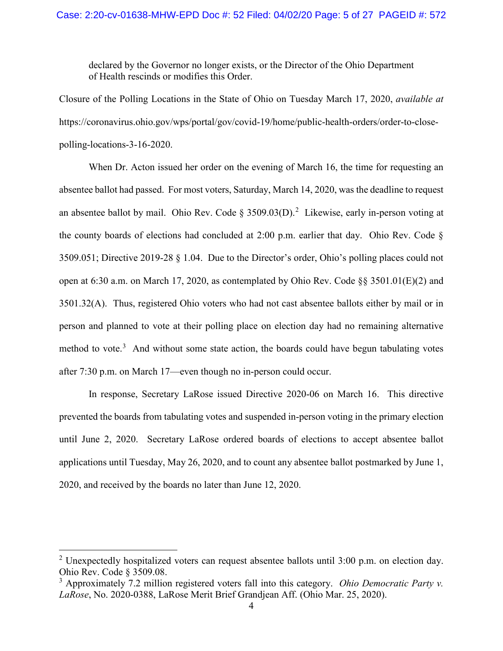declared by the Governor no longer exists, or the Director of the Ohio Department of Health rescinds or modifies this Order.

Closure of the Polling Locations in the State of Ohio on Tuesday March 17, 2020, *available at*  [https://coronavirus.ohio.gov/wps/portal/gov/covid-19/home/public-health-orders/order-to-close](https://coronavirus.ohio.gov/wps/portal/gov/covid-19/home/public-health-orders/order-to-close-polling-locations-3-16-2020)[polling-locations-3-16-2020.](https://coronavirus.ohio.gov/wps/portal/gov/covid-19/home/public-health-orders/order-to-close-polling-locations-3-16-2020)

When Dr. Acton issued her order on the evening of March 16, the time for requesting an absentee ballot had passed. For most voters, Saturday, March 14, 2020, was the deadline to request an absentee ballot by mail. Ohio Rev. Code  $\S 3509.03(D)$ .<sup>[2](#page-4-0)</sup> Likewise, early in-person voting at the county boards of elections had concluded at 2:00 p.m. earlier that day. Ohio Rev. Code § 3509.051; Directive 2019-28 § 1.04. Due to the Director's order, Ohio's polling places could not open at 6:30 a.m. on March 17, 2020, as contemplated by Ohio Rev. Code §§ 3501.01(E)(2) and 3501.32(A). Thus, registered Ohio voters who had not cast absentee ballots either by mail or in person and planned to vote at their polling place on election day had no remaining alternative method to vote. $3$  And without some state action, the boards could have begun tabulating votes after 7:30 p.m. on March 17—even though no in-person could occur.

In response, Secretary LaRose issued Directive 2020-06 on March 16. This directive prevented the boards from tabulating votes and suspended in-person voting in the primary election until June 2, 2020. Secretary LaRose ordered boards of elections to accept absentee ballot applications until Tuesday, May 26, 2020, and to count any absentee ballot postmarked by June 1, 2020, and received by the boards no later than June 12, 2020.

<span id="page-4-0"></span><sup>&</sup>lt;sup>2</sup> Unexpectedly hospitalized voters can request absentee ballots until  $3:00$  p.m. on election day. Ohio Rev. Code § 3509.08.

<span id="page-4-1"></span><sup>3</sup> Approximately 7.2 million registered voters fall into this category. *Ohio Democratic Party v. LaRose*, No. 2020-0388, LaRose Merit Brief Grandjean Aff. (Ohio Mar. 25, 2020).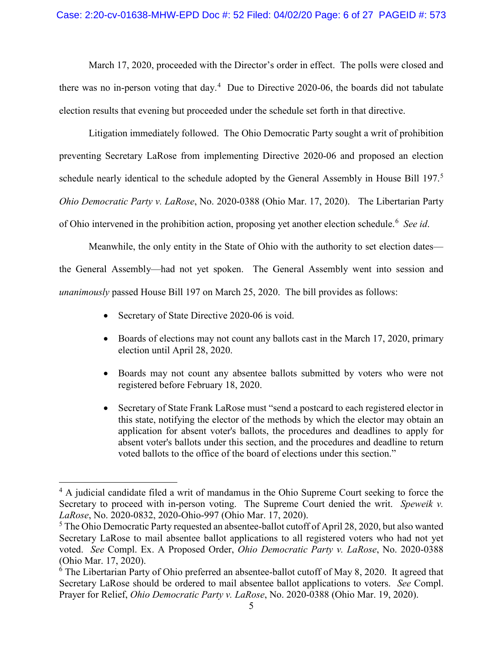March 17, 2020, proceeded with the Director's order in effect. The polls were closed and there was no in-person voting that day.<sup>[4](#page-5-0)</sup> Due to Directive 2020-06, the boards did not tabulate election results that evening but proceeded under the schedule set forth in that directive.

Litigation immediately followed. The Ohio Democratic Party sought a writ of prohibition preventing Secretary LaRose from implementing Directive 2020-06 and proposed an election schedule nearly identical to the schedule adopted by the General Assembly in House Bill 197.<sup>[5](#page-5-1)</sup> *Ohio Democratic Party v. LaRose*, No. 2020-0388 (Ohio Mar. 17, 2020). The Libertarian Party of Ohio intervened in the prohibition action, proposing yet another election schedule.<sup>[6](#page-5-2)</sup> See id.

Meanwhile, the only entity in the State of Ohio with the authority to set election dates the General Assembly—had not yet spoken. The General Assembly went into session and *unanimously* passed House Bill 197 on March 25, 2020. The bill provides as follows:

- Secretary of State Directive 2020-06 is void.
- Boards of elections may not count any ballots cast in the March 17, 2020, primary election until April 28, 2020.
- Boards may not count any absentee ballots submitted by voters who were not registered before February 18, 2020.
- Secretary of State Frank LaRose must "send a postcard to each registered elector in this state, notifying the elector of the methods by which the elector may obtain an application for absent voter's ballots, the procedures and deadlines to apply for absent voter's ballots under this section, and the procedures and deadline to return voted ballots to the office of the board of elections under this section."

<span id="page-5-0"></span><sup>&</sup>lt;sup>4</sup> A judicial candidate filed a writ of mandamus in the Ohio Supreme Court seeking to force the Secretary to proceed with in-person voting. The Supreme Court denied the writ. *Speweik v. LaRose*, No. 2020-0832, 2020-Ohio-997 (Ohio Mar. 17, 2020).

<span id="page-5-1"></span><sup>&</sup>lt;sup>5</sup> The Ohio Democratic Party requested an absentee-ballot cutoff of April 28, 2020, but also wanted Secretary LaRose to mail absentee ballot applications to all registered voters who had not yet voted. *See* Compl. Ex. A Proposed Order, *Ohio Democratic Party v. LaRose*, No. 2020-0388 (Ohio Mar. 17, 2020).

<span id="page-5-2"></span><sup>&</sup>lt;sup>6</sup> The Libertarian Party of Ohio preferred an absentee-ballot cutoff of May 8, 2020. It agreed that Secretary LaRose should be ordered to mail absentee ballot applications to voters. *See* Compl. Prayer for Relief, *Ohio Democratic Party v. LaRose*, No. 2020-0388 (Ohio Mar. 19, 2020).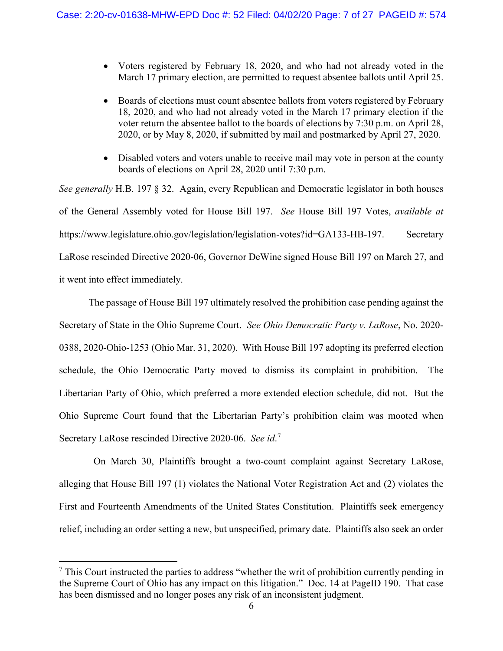- Voters registered by February 18, 2020, and who had not already voted in the March 17 primary election, are permitted to request absentee ballots until April 25.
- Boards of elections must count absentee ballots from voters registered by February 18, 2020, and who had not already voted in the March 17 primary election if the voter return the absentee ballot to the boards of elections by 7:30 p.m. on April 28, 2020, or by May 8, 2020, if submitted by mail and postmarked by April 27, 2020.
- Disabled voters and voters unable to receive mail may vote in person at the county boards of elections on April 28, 2020 until 7:30 p.m.

*See generally* H.B. 197 § 32. Again, every Republican and Democratic legislator in both houses of the General Assembly voted for House Bill 197. *See* House Bill 197 Votes, *available at*  https://www.legislature.ohio.gov/legislation/legislation-votes?id=GA133-HB-197. Secretary LaRose rescinded Directive 2020-06, Governor DeWine signed House Bill 197 on March 27, and it went into effect immediately.

The passage of House Bill 197 ultimately resolved the prohibition case pending against the Secretary of State in the Ohio Supreme Court. *See Ohio Democratic Party v. LaRose*, No. 2020- 0388, 2020-Ohio-1253 (Ohio Mar. 31, 2020). With House Bill 197 adopting its preferred election schedule, the Ohio Democratic Party moved to dismiss its complaint in prohibition. The Libertarian Party of Ohio, which preferred a more extended election schedule, did not. But the Ohio Supreme Court found that the Libertarian Party's prohibition claim was mooted when Secretary LaRose rescinded Directive 2020-06. *See id*. [7](#page-6-0)

 On March 30, Plaintiffs brought a two-count complaint against Secretary LaRose, alleging that House Bill 197 (1) violates the National Voter Registration Act and (2) violates the First and Fourteenth Amendments of the United States Constitution. Plaintiffs seek emergency relief, including an order setting a new, but unspecified, primary date. Plaintiffs also seek an order

<span id="page-6-0"></span> $<sup>7</sup>$  This Court instructed the parties to address "whether the writ of prohibition currently pending in</sup> the Supreme Court of Ohio has any impact on this litigation." Doc. 14 at PageID 190. That case has been dismissed and no longer poses any risk of an inconsistent judgment.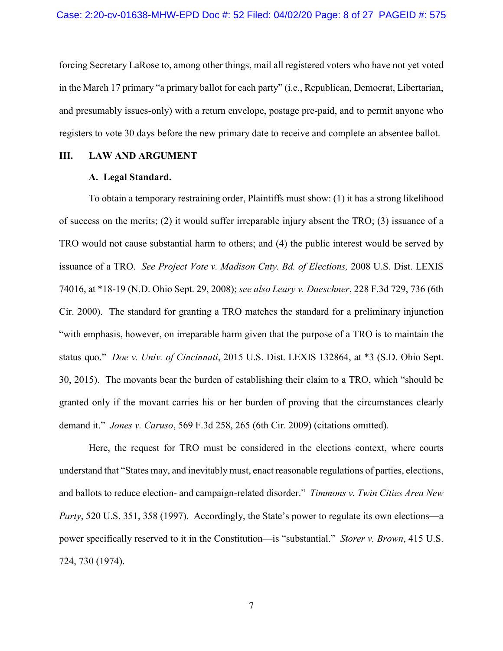forcing Secretary LaRose to, among other things, mail all registered voters who have not yet voted in the March 17 primary "a primary ballot for each party" (i.e., Republican, Democrat, Libertarian, and presumably issues-only) with a return envelope, postage pre-paid, and to permit anyone who registers to vote 30 days before the new primary date to receive and complete an absentee ballot.

## **III. LAW AND ARGUMENT**

#### **A. Legal Standard.**

To obtain a temporary restraining order, Plaintiffs must show: (1) it has a strong likelihood of success on the merits; (2) it would suffer irreparable injury absent the TRO; (3) issuance of a TRO would not cause substantial harm to others; and (4) the public interest would be served by issuance of a TRO. *See Project Vote v. Madison Cnty. Bd. of Elections,* 2008 U.S. Dist. LEXIS 74016, at \*18-19 (N.D. Ohio Sept. 29, 2008); *see also Leary v. Daeschner*, 228 F.3d 729, 736 (6th Cir. 2000). The standard for granting a TRO matches the standard for a preliminary injunction "with emphasis, however, on irreparable harm given that the purpose of a TRO is to maintain the status quo." *Doe v. Univ. of Cincinnati*, 2015 U.S. Dist. LEXIS 132864, at \*3 (S.D. Ohio Sept. 30, 2015). The movants bear the burden of establishing their claim to a TRO, which "should be granted only if the movant carries his or her burden of proving that the circumstances clearly demand it." *Jones v. Caruso*, 569 F.3d 258, 265 (6th Cir. 2009) (citations omitted).

Here, the request for TRO must be considered in the elections context, where courts understand that "States may, and inevitably must, enact reasonable regulations of parties, elections, and ballots to reduce election- and campaign-related disorder." *Timmons v. Twin Cities Area New Party*, 520 U.S. 351, 358 (1997). Accordingly, the State's power to regulate its own elections—a power specifically reserved to it in the Constitution—is "substantial." *Storer v. Brown*, 415 U.S. 724, 730 (1974).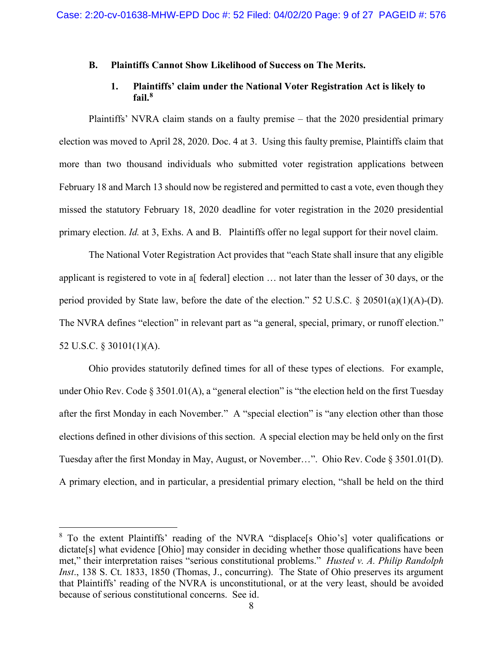#### **B. Plaintiffs Cannot Show Likelihood of Success on The Merits.**

## **1. Plaintiffs' claim under the National Voter Registration Act is likely to fail.[8](#page-8-0)**

Plaintiffs' NVRA claim stands on a faulty premise – that the 2020 presidential primary election was moved to April 28, 2020. Doc. 4 at 3. Using this faulty premise, Plaintiffs claim that more than two thousand individuals who submitted voter registration applications between February 18 and March 13 should now be registered and permitted to cast a vote, even though they missed the statutory February 18, 2020 deadline for voter registration in the 2020 presidential primary election. *Id.* at 3, Exhs. A and B. Plaintiffs offer no legal support for their novel claim.

The National Voter Registration Act provides that "each State shall insure that any eligible applicant is registered to vote in a [federal] election ... not later than the lesser of 30 days, or the period provided by State law, before the date of the election." 52 U.S.C. § 20501(a)(1)(A)-(D). The NVRA defines "election" in relevant part as "a general, special, primary, or runoff election." 52 U.S.C. § 30101(1)(A).

Ohio provides statutorily defined times for all of these types of elections. For example, under Ohio Rev. Code § 3501.01(A), a "general election" is "the election held on the first Tuesday after the first Monday in each November." A "special election" is "any election other than those elections defined in other divisions of this section. A special election may be held only on the first Tuesday after the first Monday in May, August, or November…". Ohio Rev. Code § 3501.01(D). A primary election, and in particular, a presidential primary election, "shall be held on the third

<span id="page-8-0"></span> <sup>8</sup> To the extent Plaintiffs' reading of the NVRA "displace[s Ohio's] voter qualifications or dictate[s] what evidence [Ohio] may consider in deciding whether those qualifications have been met," their interpretation raises "serious constitutional problems." *Husted v. A. Philip Randolph Inst*., 138 S. Ct. 1833, 1850 (Thomas, J., concurring). The State of Ohio preserves its argument that Plaintiffs' reading of the NVRA is unconstitutional, or at the very least, should be avoided because of serious constitutional concerns. See id.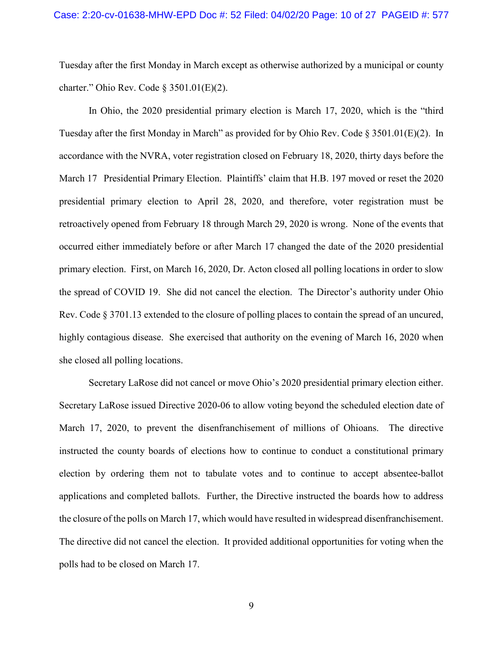Tuesday after the first Monday in March except as otherwise authorized by a municipal or county charter." Ohio Rev. Code § 3501.01(E)(2).

In Ohio, the 2020 presidential primary election is March 17, 2020, which is the "third Tuesday after the first Monday in March" as provided for by Ohio Rev. Code § 3501.01(E)(2). In accordance with the NVRA, voter registration closed on February 18, 2020, thirty days before the March 17 Presidential Primary Election. Plaintiffs' claim that H.B. 197 moved or reset the 2020 presidential primary election to April 28, 2020, and therefore, voter registration must be retroactively opened from February 18 through March 29, 2020 is wrong. None of the events that occurred either immediately before or after March 17 changed the date of the 2020 presidential primary election. First, on March 16, 2020, Dr. Acton closed all polling locations in order to slow the spread of COVID 19. She did not cancel the election. The Director's authority under Ohio Rev. Code § 3701.13 extended to the closure of polling places to contain the spread of an uncured, highly contagious disease. She exercised that authority on the evening of March 16, 2020 when she closed all polling locations.

Secretary LaRose did not cancel or move Ohio's 2020 presidential primary election either. Secretary LaRose issued Directive 2020-06 to allow voting beyond the scheduled election date of March 17, 2020, to prevent the disenfranchisement of millions of Ohioans. The directive instructed the county boards of elections how to continue to conduct a constitutional primary election by ordering them not to tabulate votes and to continue to accept absentee-ballot applications and completed ballots. Further, the Directive instructed the boards how to address the closure of the polls on March 17, which would have resulted in widespread disenfranchisement. The directive did not cancel the election. It provided additional opportunities for voting when the polls had to be closed on March 17.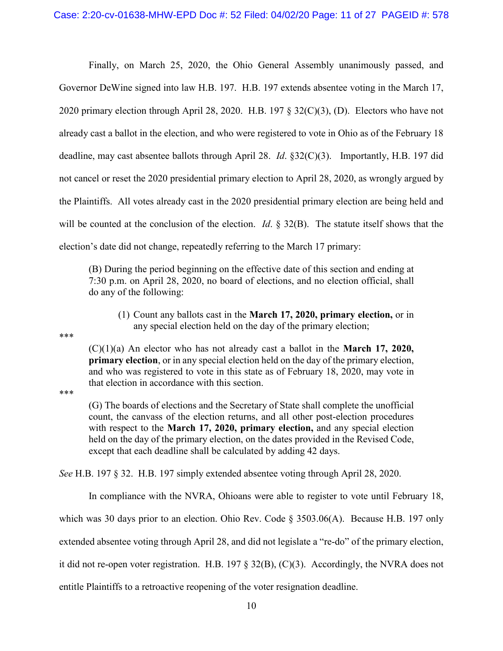Finally, on March 25, 2020, the Ohio General Assembly unanimously passed, and Governor DeWine signed into law H.B. 197. H.B. 197 extends absentee voting in the March 17, 2020 primary election through April 28, 2020. H.B. 197 § 32(C)(3), (D). Electors who have not already cast a ballot in the election, and who were registered to vote in Ohio as of the February 18 deadline, may cast absentee ballots through April 28. *Id*. §32(C)(3). Importantly, H.B. 197 did not cancel or reset the 2020 presidential primary election to April 28, 2020, as wrongly argued by the Plaintiffs. All votes already cast in the 2020 presidential primary election are being held and will be counted at the conclusion of the election. *Id*. § 32(B). The statute itself shows that the election's date did not change, repeatedly referring to the March 17 primary:

(B) During the period beginning on the effective date of this section and ending at 7:30 p.m. on April 28, 2020, no board of elections, and no election official, shall do any of the following:

(1) Count any ballots cast in the **March 17, 2020, primary election,** or in any special election held on the day of the primary election;

\*\*\*

(C)(1)(a) An elector who has not already cast a ballot in the **March 17, 2020, primary election**, or in any special election held on the day of the primary election, and who was registered to vote in this state as of February 18, 2020, may vote in that election in accordance with this section.

\*\*\*

(G) The boards of elections and the Secretary of State shall complete the unofficial count, the canvass of the election returns, and all other post-election procedures with respect to the **March 17, 2020, primary election,** and any special election held on the day of the primary election, on the dates provided in the Revised Code, except that each deadline shall be calculated by adding 42 days.

*See* H.B. 197 § 32. H.B. 197 simply extended absentee voting through April 28, 2020.

In compliance with the NVRA, Ohioans were able to register to vote until February 18, which was 30 days prior to an election. Ohio Rev. Code § 3503.06(A). Because H.B. 197 only extended absentee voting through April 28, and did not legislate a "re-do" of the primary election, it did not re-open voter registration. H.B. 197 § 32(B), (C)(3). Accordingly, the NVRA does not entitle Plaintiffs to a retroactive reopening of the voter resignation deadline.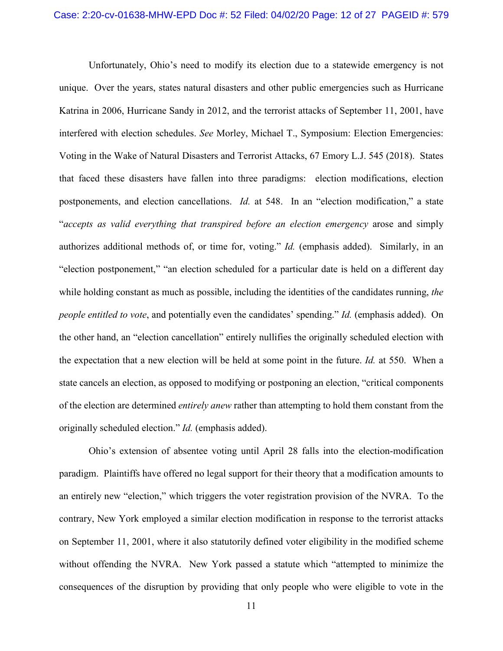Unfortunately, Ohio's need to modify its election due to a statewide emergency is not unique. Over the years, states natural disasters and other public emergencies such as Hurricane Katrina in 2006, Hurricane Sandy in 2012, and the terrorist attacks of September 11, 2001, have interfered with election schedules. *See* Morley, Michael T., Symposium: Election Emergencies: Voting in the Wake of Natural Disasters and Terrorist Attacks, 67 Emory L.J. 545 (2018). States that faced these disasters have fallen into three paradigms: election modifications, election postponements, and election cancellations. *Id.* at 548. In an "election modification," a state "*accepts as valid everything that transpired before an election emergency* arose and simply authorizes additional methods of, or time for, voting." *Id.* (emphasis added). Similarly, in an "election postponement," "an election scheduled for a particular date is held on a different day while holding constant as much as possible, including the identities of the candidates running, *the people entitled to vote*, and potentially even the candidates' spending." *Id.* (emphasis added). On the other hand, an "election cancellation" entirely nullifies the originally scheduled election with the expectation that a new election will be held at some point in the future. *Id.* at 550. When a state cancels an election, as opposed to modifying or postponing an election, "critical components of the election are determined *entirely anew* rather than attempting to hold them constant from the originally scheduled election." *Id.* (emphasis added).

Ohio's extension of absentee voting until April 28 falls into the election-modification paradigm. Plaintiffs have offered no legal support for their theory that a modification amounts to an entirely new "election," which triggers the voter registration provision of the NVRA. To the contrary, New York employed a similar election modification in response to the terrorist attacks on September 11, 2001, where it also statutorily defined voter eligibility in the modified scheme without offending the NVRA. New York passed a statute which "attempted to minimize the consequences of the disruption by providing that only people who were eligible to vote in the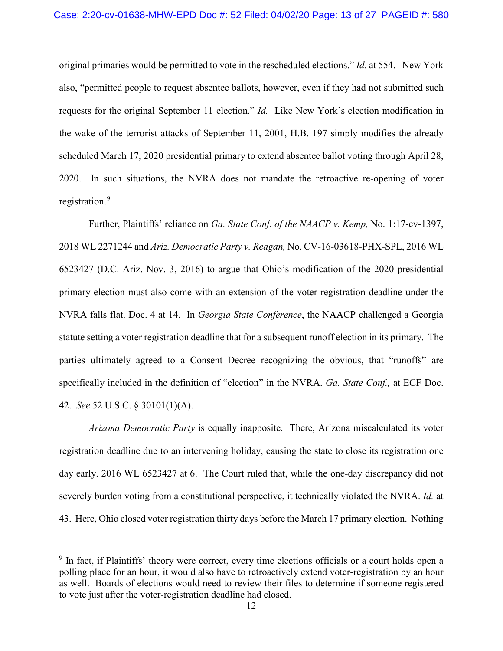original primaries would be permitted to vote in the rescheduled elections." *Id.* at 554. New York also, "permitted people to request absentee ballots, however, even if they had not submitted such requests for the original September 11 election." *Id.* Like New York's election modification in the wake of the terrorist attacks of September 11, 2001, H.B. 197 simply modifies the already scheduled March 17, 2020 presidential primary to extend absentee ballot voting through April 28, 2020. In such situations, the NVRA does not mandate the retroactive re-opening of voter registration.<sup>[9](#page-12-0)</sup>

Further, Plaintiffs' reliance on *Ga. State Conf. of the NAACP v. Kemp,* No. 1:17-cv-1397, 2018 WL 2271244 and *Ariz. Democratic Party v. Reagan,* No. CV-16-03618-PHX-SPL, 2016 WL 6523427 (D.C. Ariz. Nov. 3, 2016) to argue that Ohio's modification of the 2020 presidential primary election must also come with an extension of the voter registration deadline under the NVRA falls flat. Doc. 4 at 14. In *Georgia State Conference*, the NAACP challenged a Georgia statute setting a voter registration deadline that for a subsequent runoff election in its primary. The parties ultimately agreed to a Consent Decree recognizing the obvious, that "runoffs" are specifically included in the definition of "election" in the NVRA. *Ga. State Conf.,* at ECF Doc. 42. *See* 52 U.S.C. § 30101(1)(A).

*Arizona Democratic Party* is equally inapposite. There, Arizona miscalculated its voter registration deadline due to an intervening holiday, causing the state to close its registration one day early. 2016 WL 6523427 at 6. The Court ruled that, while the one-day discrepancy did not severely burden voting from a constitutional perspective, it technically violated the NVRA. *Id.* at 43. Here, Ohio closed voter registration thirty days before the March 17 primary election. Nothing

<span id="page-12-0"></span><sup>&</sup>lt;sup>9</sup> In fact, if Plaintiffs' theory were correct, every time elections officials or a court holds open a polling place for an hour, it would also have to retroactively extend voter-registration by an hour as well. Boards of elections would need to review their files to determine if someone registered to vote just after the voter-registration deadline had closed.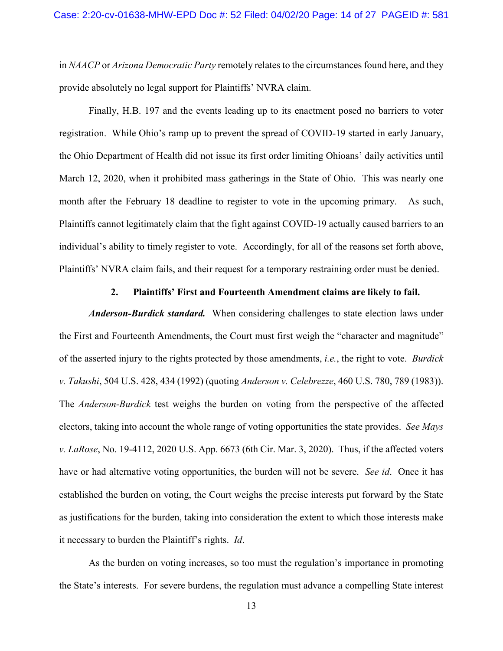in *NAACP* or *Arizona Democratic Party* remotely relates to the circumstances found here, and they provide absolutely no legal support for Plaintiffs' NVRA claim.

Finally, H.B. 197 and the events leading up to its enactment posed no barriers to voter registration. While Ohio's ramp up to prevent the spread of COVID-19 started in early January, the Ohio Department of Health did not issue its first order limiting Ohioans' daily activities until March 12, 2020, when it prohibited mass gatherings in the State of Ohio. This was nearly one month after the February 18 deadline to register to vote in the upcoming primary. As such, Plaintiffs cannot legitimately claim that the fight against COVID-19 actually caused barriers to an individual's ability to timely register to vote. Accordingly, for all of the reasons set forth above, Plaintiffs' NVRA claim fails, and their request for a temporary restraining order must be denied.

#### **2. Plaintiffs' First and Fourteenth Amendment claims are likely to fail.**

*Anderson-Burdick standard.* When considering challenges to state election laws under the First and Fourteenth Amendments, the Court must first weigh the "character and magnitude" of the asserted injury to the rights protected by those amendments, *i.e.*, the right to vote. *Burdick v. Takushi*, 504 U.S. 428, 434 (1992) (quoting *Anderson v. Celebrezze*, 460 U.S. 780, 789 (1983)). The *Anderson-Burdick* test weighs the burden on voting from the perspective of the affected electors, taking into account the whole range of voting opportunities the state provides. *See Mays v. LaRose*, No. 19-4112, 2020 U.S. App. 6673 (6th Cir. Mar. 3, 2020). Thus, if the affected voters have or had alternative voting opportunities, the burden will not be severe. *See id*. Once it has established the burden on voting, the Court weighs the precise interests put forward by the State as justifications for the burden, taking into consideration the extent to which those interests make it necessary to burden the Plaintiff's rights. *Id*.

As the burden on voting increases, so too must the regulation's importance in promoting the State's interests. For severe burdens, the regulation must advance a compelling State interest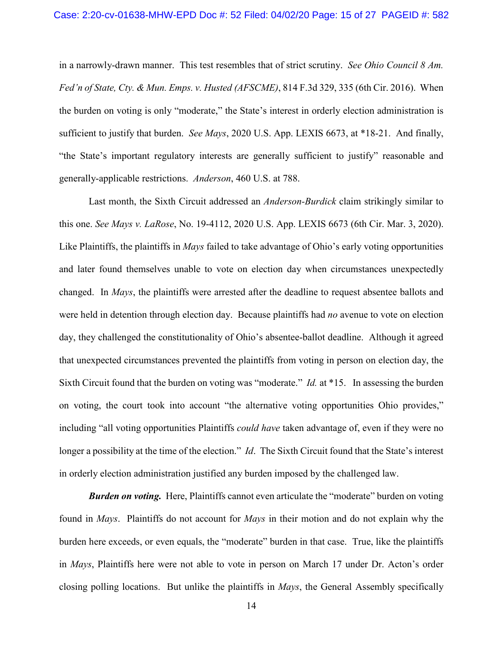in a narrowly-drawn manner. This test resembles that of strict scrutiny. *See Ohio Council 8 Am. Fed'n of State, Cty. & Mun. Emps. v. Husted (AFSCME)*, 814 F.3d 329, 335 (6th Cir. 2016). When the burden on voting is only "moderate," the State's interest in orderly election administration is sufficient to justify that burden. *See Mays*, 2020 U.S. App. LEXIS 6673, at \*18-21. And finally, "the State's important regulatory interests are generally sufficient to justify" reasonable and generally-applicable restrictions. *Anderson*, 460 U.S. at 788.

Last month, the Sixth Circuit addressed an *Anderson-Burdick* claim strikingly similar to this one. *See Mays v. LaRose*, No. 19-4112, 2020 U.S. App. LEXIS 6673 (6th Cir. Mar. 3, 2020). Like Plaintiffs, the plaintiffs in *Mays* failed to take advantage of Ohio's early voting opportunities and later found themselves unable to vote on election day when circumstances unexpectedly changed. In *Mays*, the plaintiffs were arrested after the deadline to request absentee ballots and were held in detention through election day. Because plaintiffs had *no* avenue to vote on election day, they challenged the constitutionality of Ohio's absentee-ballot deadline. Although it agreed that unexpected circumstances prevented the plaintiffs from voting in person on election day, the Sixth Circuit found that the burden on voting was "moderate." *Id.* at \*15. In assessing the burden on voting, the court took into account "the alternative voting opportunities Ohio provides," including "all voting opportunities Plaintiffs *could have* taken advantage of, even if they were no longer a possibility at the time of the election." *Id*. The Sixth Circuit found that the State's interest in orderly election administration justified any burden imposed by the challenged law.

**Burden on voting.** Here, Plaintiffs cannot even articulate the "moderate" burden on voting found in *Mays*. Plaintiffs do not account for *Mays* in their motion and do not explain why the burden here exceeds, or even equals, the "moderate" burden in that case. True, like the plaintiffs in *Mays*, Plaintiffs here were not able to vote in person on March 17 under Dr. Acton's order closing polling locations. But unlike the plaintiffs in *Mays*, the General Assembly specifically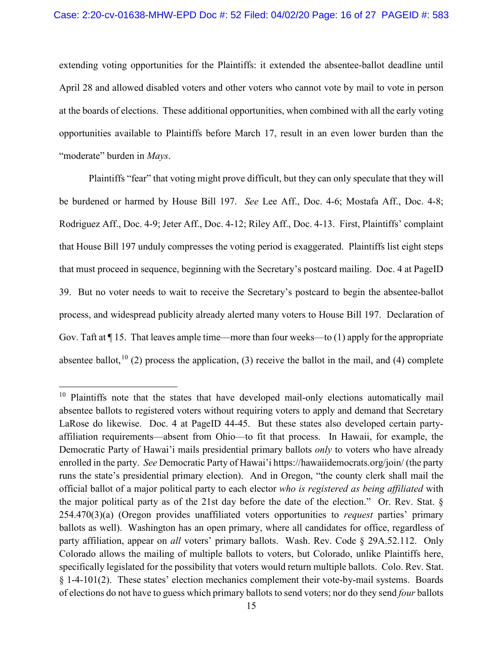extending voting opportunities for the Plaintiffs: it extended the absentee-ballot deadline until April 28 and allowed disabled voters and other voters who cannot vote by mail to vote in person at the boards of elections. These additional opportunities, when combined with all the early voting opportunities available to Plaintiffs before March 17, result in an even lower burden than the "moderate" burden in *Mays*.

Plaintiffs "fear" that voting might prove difficult, but they can only speculate that they will be burdened or harmed by House Bill 197. *See* Lee Aff., Doc. 4-6; Mostafa Aff., Doc. 4-8; Rodriguez Aff., Doc. 4-9; Jeter Aff., Doc. 4-12; Riley Aff., Doc. 4-13. First, Plaintiffs' complaint that House Bill 197 unduly compresses the voting period is exaggerated. Plaintiffs list eight steps that must proceed in sequence, beginning with the Secretary's postcard mailing. Doc. 4 at PageID 39. But no voter needs to wait to receive the Secretary's postcard to begin the absentee-ballot process, and widespread publicity already alerted many voters to House Bill 197. Declaration of Gov. Taft at ¶ 15. That leaves ample time—more than four weeks—to (1) apply for the appropriate absentee ballot,<sup>[10](#page-15-0)</sup> (2) process the application, (3) receive the ballot in the mail, and (4) complete

<span id="page-15-0"></span><sup>&</sup>lt;sup>10</sup> Plaintiffs note that the states that have developed mail-only elections automatically mail absentee ballots to registered voters without requiring voters to apply and demand that Secretary LaRose do likewise. Doc. 4 at PageID 44-45. But these states also developed certain partyaffiliation requirements—absent from Ohio—to fit that process. In Hawaii, for example, the Democratic Party of Hawai'i mails presidential primary ballots *only* to voters who have already enrolled in the party. *See* Democratic Party of Hawai'i https://hawaiidemocrats.org/join/ (the party runs the state's presidential primary election). And in Oregon, "the county clerk shall mail the official ballot of a major political party to each elector *who is registered as being affiliated* with the major political party as of the 21st day before the date of the election." Or. Rev. Stat. § 254.470(3)(a) (Oregon provides unaffiliated voters opportunities to *request* parties' primary ballots as well). Washington has an open primary, where all candidates for office, regardless of party affiliation, appear on *all* voters' primary ballots. Wash. Rev. Code § 29A.52.112. Only Colorado allows the mailing of multiple ballots to voters, but Colorado, unlike Plaintiffs here, specifically legislated for the possibility that voters would return multiple ballots. Colo. Rev. Stat. § 1-4-101(2). These states' election mechanics complement their vote-by-mail systems. Boards of elections do not have to guess which primary ballots to send voters; nor do they send *four* ballots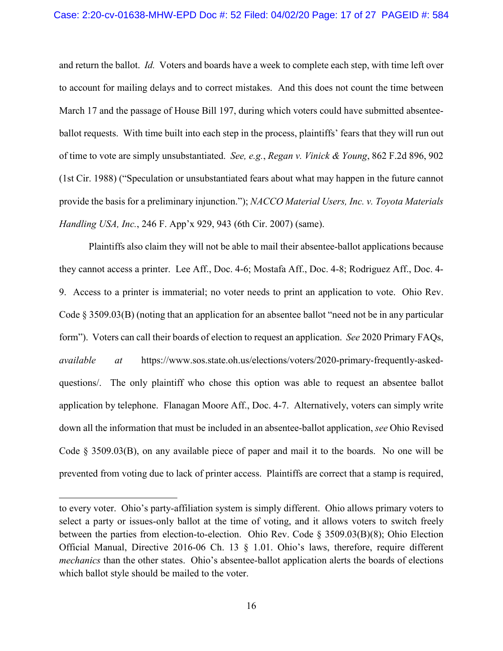and return the ballot. *Id.* Voters and boards have a week to complete each step, with time left over to account for mailing delays and to correct mistakes. And this does not count the time between March 17 and the passage of House Bill 197, during which voters could have submitted absenteeballot requests. With time built into each step in the process, plaintiffs' fears that they will run out of time to vote are simply unsubstantiated. *See, e.g.*, *Regan v. Vinick & Young*, 862 F.2d 896, 902 (1st Cir. 1988) ("Speculation or unsubstantiated fears about what may happen in the future cannot provide the basis for a preliminary injunction."); *NACCO Material Users, Inc. v. Toyota Materials Handling USA, Inc.*, 246 F. App'x 929, 943 (6th Cir. 2007) (same).

Plaintiffs also claim they will not be able to mail their absentee-ballot applications because they cannot access a printer. Lee Aff., Doc. 4-6; Mostafa Aff., Doc. 4-8; Rodriguez Aff., Doc. 4- 9. Access to a printer is immaterial; no voter needs to print an application to vote. Ohio Rev. Code § 3509.03(B) (noting that an application for an absentee ballot "need not be in any particular form"). Voters can call their boards of election to request an application. *See* 2020 Primary FAQs, *available at* [https://www.sos.state.oh.us/elections/voters/2020-primary-frequently-asked](https://www.sos.state.oh.us/elections/voters/2020-primary-frequently-asked-questions/)[questions/.](https://www.sos.state.oh.us/elections/voters/2020-primary-frequently-asked-questions/) The only plaintiff who chose this option was able to request an absentee ballot application by telephone. Flanagan Moore Aff., Doc. 4-7. Alternatively, voters can simply write down all the information that must be included in an absentee-ballot application, *see* Ohio Revised Code § 3509.03(B), on any available piece of paper and mail it to the boards. No one will be prevented from voting due to lack of printer access. Plaintiffs are correct that a stamp is required,

 $\overline{a}$ 

to every voter. Ohio's party-affiliation system is simply different. Ohio allows primary voters to select a party or issues-only ballot at the time of voting, and it allows voters to switch freely between the parties from election-to-election. Ohio Rev. Code § 3509.03(B)(8); Ohio Election Official Manual, Directive 2016-06 Ch. 13 § 1.01. Ohio's laws, therefore, require different *mechanics* than the other states. Ohio's absentee-ballot application alerts the boards of elections which ballot style should be mailed to the voter.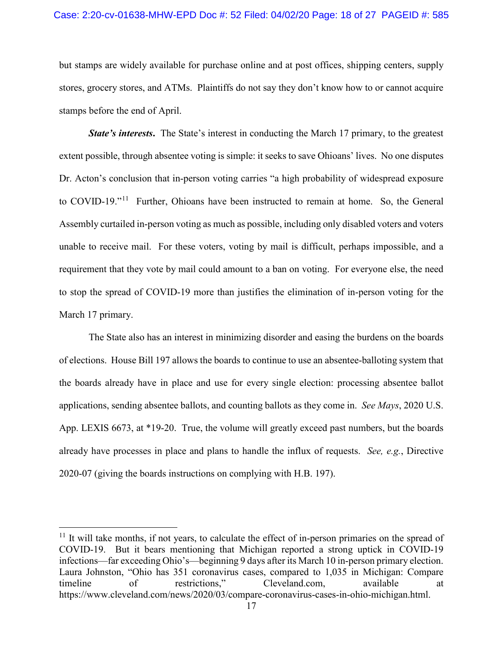but stamps are widely available for purchase online and at post offices, shipping centers, supply stores, grocery stores, and ATMs. Plaintiffs do not say they don't know how to or cannot acquire stamps before the end of April.

*State's interests.* The State's interest in conducting the March 17 primary, to the greatest extent possible, through absentee voting is simple: it seeks to save Ohioans' lives. No one disputes Dr. Acton's conclusion that in-person voting carries "a high probability of widespread exposure to COVID-19."<sup>11</sup> Further, Ohioans have been instructed to remain at home. So, the General Assembly curtailed in-person voting as much as possible, including only disabled voters and voters unable to receive mail. For these voters, voting by mail is difficult, perhaps impossible, and a requirement that they vote by mail could amount to a ban on voting. For everyone else, the need to stop the spread of COVID-19 more than justifies the elimination of in-person voting for the March 17 primary.

The State also has an interest in minimizing disorder and easing the burdens on the boards of elections. House Bill 197 allows the boards to continue to use an absentee-balloting system that the boards already have in place and use for every single election: processing absentee ballot applications, sending absentee ballots, and counting ballots as they come in. *See Mays*, 2020 U.S. App. LEXIS 6673, at \*19-20. True, the volume will greatly exceed past numbers, but the boards already have processes in place and plans to handle the influx of requests. *See, e.g.*, Directive 2020-07 (giving the boards instructions on complying with H.B. 197).

<span id="page-17-0"></span> $11$  It will take months, if not years, to calculate the effect of in-person primaries on the spread of COVID-19. But it bears mentioning that Michigan reported a strong uptick in COVID-19 infections—far exceeding Ohio's—beginning 9 days after its March 10 in-person primary election. Laura Johnston, "Ohio has 351 coronavirus cases, compared to 1,035 in Michigan: Compare timeline of restrictions," Cleveland.com, available at https://www.cleveland.com/news/2020/03/compare-coronavirus-cases-in-ohio-michigan.html.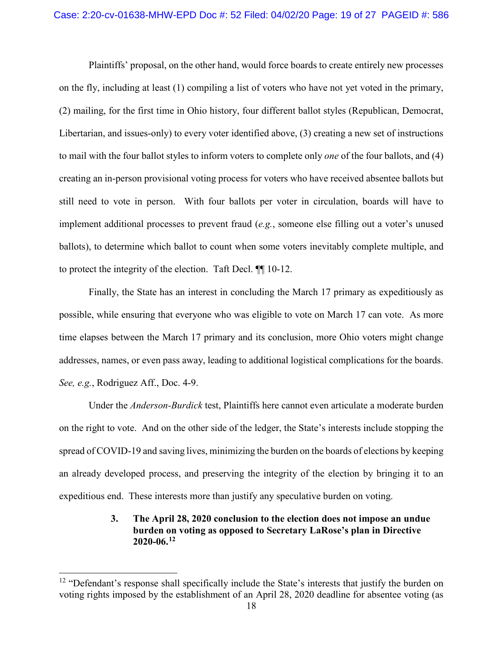Plaintiffs' proposal, on the other hand, would force boards to create entirely new processes on the fly, including at least (1) compiling a list of voters who have not yet voted in the primary, (2) mailing, for the first time in Ohio history, four different ballot styles (Republican, Democrat, Libertarian, and issues-only) to every voter identified above, (3) creating a new set of instructions to mail with the four ballot styles to inform voters to complete only *one* of the four ballots, and (4) creating an in-person provisional voting process for voters who have received absentee ballots but still need to vote in person. With four ballots per voter in circulation, boards will have to implement additional processes to prevent fraud (*e.g.*, someone else filling out a voter's unused ballots), to determine which ballot to count when some voters inevitably complete multiple, and to protect the integrity of the election. Taft Decl. ¶¶ 10-12.

Finally, the State has an interest in concluding the March 17 primary as expeditiously as possible, while ensuring that everyone who was eligible to vote on March 17 can vote. As more time elapses between the March 17 primary and its conclusion, more Ohio voters might change addresses, names, or even pass away, leading to additional logistical complications for the boards. *See, e.g.*, Rodriguez Aff., Doc. 4-9.

Under the *Anderson-Burdick* test, Plaintiffs here cannot even articulate a moderate burden on the right to vote. And on the other side of the ledger, the State's interests include stopping the spread of COVID-19 and saving lives, minimizing the burden on the boards of elections by keeping an already developed process, and preserving the integrity of the election by bringing it to an expeditious end. These interests more than justify any speculative burden on voting.

## **3. The April 28, 2020 conclusion to the election does not impose an undue burden on voting as opposed to Secretary LaRose's plan in Directive 2020-06. [12](#page-18-0)**

<span id="page-18-0"></span><sup>&</sup>lt;sup>12</sup> "Defendant's response shall specifically include the State's interests that justify the burden on voting rights imposed by the establishment of an April 28, 2020 deadline for absentee voting (as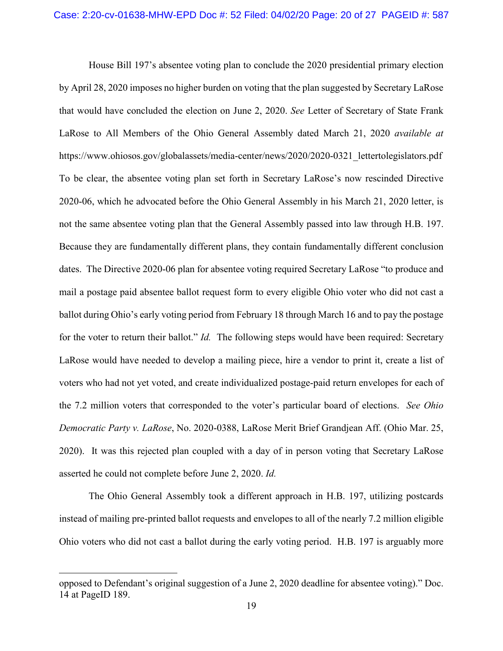House Bill 197's absentee voting plan to conclude the 2020 presidential primary election by April 28, 2020 imposes no higher burden on voting that the plan suggested by Secretary LaRose that would have concluded the election on June 2, 2020. *See* Letter of Secretary of State Frank LaRose to All Members of the Ohio General Assembly dated March 21, 2020 *available at*  https://www.ohiosos.gov/globalassets/media-center/news/2020/2020-0321\_lettertolegislators.pdf To be clear, the absentee voting plan set forth in Secretary LaRose's now rescinded Directive 2020-06, which he advocated before the Ohio General Assembly in his March 21, 2020 letter, is not the same absentee voting plan that the General Assembly passed into law through H.B. 197. Because they are fundamentally different plans, they contain fundamentally different conclusion dates. The Directive 2020-06 plan for absentee voting required Secretary LaRose "to produce and mail a postage paid absentee ballot request form to every eligible Ohio voter who did not cast a ballot during Ohio's early voting period from February 18 through March 16 and to pay the postage for the voter to return their ballot." *Id.* The following steps would have been required: Secretary LaRose would have needed to develop a mailing piece, hire a vendor to print it, create a list of voters who had not yet voted, and create individualized postage-paid return envelopes for each of the 7.2 million voters that corresponded to the voter's particular board of elections. *See Ohio Democratic Party v. LaRose*, No. 2020-0388, LaRose Merit Brief Grandjean Aff. (Ohio Mar. 25, 2020).It was this rejected plan coupled with a day of in person voting that Secretary LaRose asserted he could not complete before June 2, 2020. *Id.* 

The Ohio General Assembly took a different approach in H.B. 197, utilizing postcards instead of mailing pre-printed ballot requests and envelopes to all of the nearly 7.2 million eligible Ohio voters who did not cast a ballot during the early voting period. H.B. 197 is arguably more

 $\overline{a}$ 

opposed to Defendant's original suggestion of a June 2, 2020 deadline for absentee voting)." Doc. 14 at PageID 189.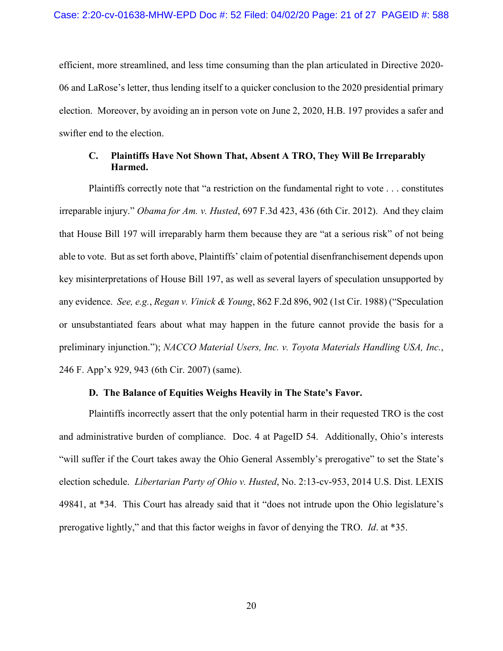efficient, more streamlined, and less time consuming than the plan articulated in Directive 2020- 06 and LaRose's letter, thus lending itself to a quicker conclusion to the 2020 presidential primary election. Moreover, by avoiding an in person vote on June 2, 2020, H.B. 197 provides a safer and swifter end to the election.

## **C. Plaintiffs Have Not Shown That, Absent A TRO, They Will Be Irreparably Harmed.**

Plaintiffs correctly note that "a restriction on the fundamental right to vote . . . constitutes irreparable injury." *Obama for Am. v. Husted*, 697 F.3d 423, 436 (6th Cir. 2012). And they claim that House Bill 197 will irreparably harm them because they are "at a serious risk" of not being able to vote. But as set forth above, Plaintiffs' claim of potential disenfranchisement depends upon key misinterpretations of House Bill 197, as well as several layers of speculation unsupported by any evidence. *See, e.g.*, *Regan v. Vinick & Young*, 862 F.2d 896, 902 (1st Cir. 1988) ("Speculation or unsubstantiated fears about what may happen in the future cannot provide the basis for a preliminary injunction."); *NACCO Material Users, Inc. v. Toyota Materials Handling USA, Inc.*, 246 F. App'x 929, 943 (6th Cir. 2007) (same).

#### **D. The Balance of Equities Weighs Heavily in The State's Favor.**

Plaintiffs incorrectly assert that the only potential harm in their requested TRO is the cost and administrative burden of compliance. Doc. 4 at PageID 54. Additionally, Ohio's interests "will suffer if the Court takes away the Ohio General Assembly's prerogative" to set the State's election schedule. *Libertarian Party of Ohio v. Husted*, No. 2:13-cv-953, 2014 U.S. Dist. LEXIS 49841, at \*34. This Court has already said that it "does not intrude upon the Ohio legislature's prerogative lightly," and that this factor weighs in favor of denying the TRO. *Id*. at \*35.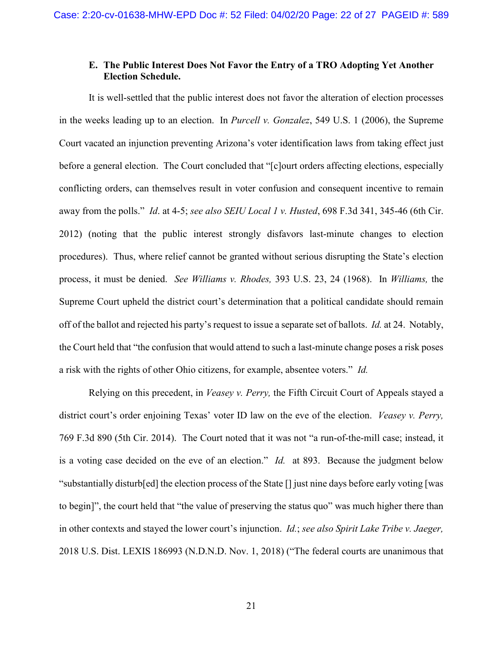## **E. The Public Interest Does Not Favor the Entry of a TRO Adopting Yet Another Election Schedule.**

It is well-settled that the public interest does not favor the alteration of election processes in the weeks leading up to an election. In *Purcell v. Gonzalez*, 549 U.S. 1 (2006), the Supreme Court vacated an injunction preventing Arizona's voter identification laws from taking effect just before a general election. The Court concluded that "[c]ourt orders affecting elections, especially conflicting orders, can themselves result in voter confusion and consequent incentive to remain away from the polls." *Id*. at 4-5; *see also SEIU Local 1 v. Husted*, 698 F.3d 341, 345-46 (6th Cir. 2012) (noting that the public interest strongly disfavors last-minute changes to election procedures). Thus, where relief cannot be granted without serious disrupting the State's election process, it must be denied. *See Williams v. Rhodes,* 393 U.S. 23, 24 (1968). In *Williams,* the Supreme Court upheld the district court's determination that a political candidate should remain off of the ballot and rejected his party's request to issue a separate set of ballots. *Id.* at 24. Notably, the Court held that "the confusion that would attend to such a last-minute change poses a risk poses a risk with the rights of other Ohio citizens, for example, absentee voters." *Id.* 

Relying on this precedent, in *Veasey v. Perry,* the Fifth Circuit Court of Appeals stayed a district court's order enjoining Texas' voter ID law on the eve of the election. *Veasey v. Perry,*  769 F.3d 890 (5th Cir. 2014). The Court noted that it was not "a run-of-the-mill case; instead, it is a voting case decided on the eve of an election." *Id.* at 893. Because the judgment below "substantially disturb[ed] the election process of the State [] just nine days before early voting [was to begin]", the court held that "the value of preserving the status quo" was much higher there than in other contexts and stayed the lower court's injunction. *Id.*; *see also Spirit Lake Tribe v. Jaeger,*  2018 U.S. Dist. LEXIS 186993 (N.D.N.D. Nov. 1, 2018) ("The federal courts are unanimous that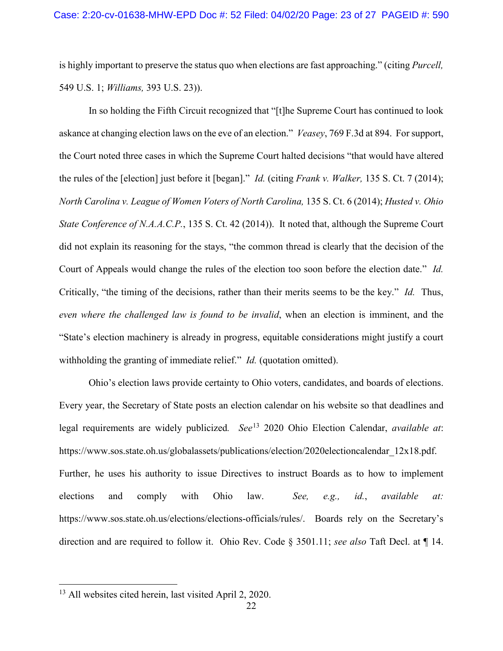is highly important to preserve the status quo when elections are fast approaching." (citing *Purcell,*  549 U.S. 1; *Williams,* 393 U.S. 23)).

In so holding the Fifth Circuit recognized that "[t]he Supreme Court has continued to look askance at changing election laws on the eve of an election." *Veasey*, 769 F.3d at 894. For support, the Court noted three cases in which the Supreme Court halted decisions "that would have altered the rules of the [election] just before it [began]." *Id.* (citing *Frank v. Walker,* 135 S. Ct. 7 (2014); *North Carolina v. League of Women Voters of North Carolina,* 135 S. Ct. 6 (2014); *Husted v. Ohio State Conference of N.A.A.C.P.*, 135 S. Ct. 42 (2014)). It noted that, although the Supreme Court did not explain its reasoning for the stays, "the common thread is clearly that the decision of the Court of Appeals would change the rules of the election too soon before the election date." *Id.*  Critically, "the timing of the decisions, rather than their merits seems to be the key." *Id.* Thus, *even where the challenged law is found to be invalid*, when an election is imminent, and the "State's election machinery is already in progress, equitable considerations might justify a court withholding the granting of immediate relief." *Id.* (quotation omitted).

Ohio's election laws provide certainty to Ohio voters, candidates, and boards of elections. Every year, the Secretary of State posts an election calendar on his website so that deadlines and legal requirements are widely publicized*. See*[13](#page-22-0) 2020 Ohio Election Calendar, *available at*: https://www.sos.state.oh.us/globalassets/publications/election/2020electioncalendar\_12x18.pdf. Further, he uses his authority to issue Directives to instruct Boards as to how to implement elections and comply with Ohio law. *See, e.g., id.*, *available at:* [https://www.sos.state.oh.us/elections/elections-officials/rules/.](https://www.sos.state.oh.us/elections/elections-officials/rules/) Boards rely on the Secretary's direction and are required to follow it. Ohio Rev. Code § 3501.11; *see also* Taft Decl. at ¶ 14.

<span id="page-22-0"></span> <sup>13</sup> All websites cited herein, last visited April 2, 2020.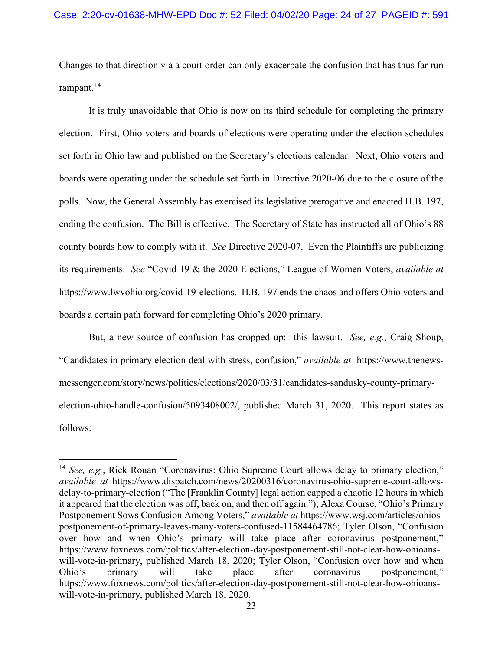Changes to that direction via a court order can only exacerbate the confusion that has thus far run rampant.<sup>[14](#page-23-0)</sup>

It is truly unavoidable that Ohio is now on its third schedule for completing the primary election. First, Ohio voters and boards of elections were operating under the election schedules set forth in Ohio law and published on the Secretary's elections calendar. Next, Ohio voters and boards were operating under the schedule set forth in Directive 2020-06 due to the closure of the polls. Now, the General Assembly has exercised its legislative prerogative and enacted H.B. 197, ending the confusion. The Bill is effective. The Secretary of State has instructed all of Ohio's 88 county boards how to comply with it. *See* Directive 2020-07. Even the Plaintiffs are publicizing its requirements. *See* "Covid-19 & the 2020 Elections," League of Women Voters, *available at*  https://www.lwvohio.org/covid-19-elections. H.B. 197 ends the chaos and offers Ohio voters and boards a certain path forward for completing Ohio's 2020 primary.

But, a new source of confusion has cropped up: this lawsuit. *See, e.g.*, Craig Shoup, "Candidates in primary election deal with stress, confusion," *available at* [https://www.thenews](https://www.thenews-messenger.com/story/news/politics/elections/2020/03/31/candidates-sandusky-county-primary-election-ohio-handle-confusion/5093408002/)[messenger.com/story/news/politics/elections/2020/03/31/candidates-sandusky-county-primary](https://www.thenews-messenger.com/story/news/politics/elections/2020/03/31/candidates-sandusky-county-primary-election-ohio-handle-confusion/5093408002/)[election-ohio-handle-confusion/5093408002/,](https://www.thenews-messenger.com/story/news/politics/elections/2020/03/31/candidates-sandusky-county-primary-election-ohio-handle-confusion/5093408002/) published March 31, 2020. This report states as follows:

<span id="page-23-0"></span><sup>&</sup>lt;sup>14</sup> See, e.g., Rick Rouan "Coronavirus: Ohio Supreme Court allows delay to primary election," *available at* [https://www.dispatch.com/news/20200316/coronavirus-ohio-supreme-court-allows](https://www.dispatch.com/news/20200316/coronavirus-ohio-supreme-court-allows-delay-to-primary-election)[delay-to-primary-election](https://www.dispatch.com/news/20200316/coronavirus-ohio-supreme-court-allows-delay-to-primary-election) ("The [Franklin County] legal action capped a chaotic 12 hours in which it appeared that the election was off, back on, and then off again."); Alexa Course, "Ohio's Primary Postponement Sows Confusion Among Voters," *available at* [https://www.wsj.com/articles/ohios](https://www.wsj.com/articles/ohios-postponement-of-primary-leaves-many-voters-confused-11584464786)[postponement-of-primary-leaves-many-voters-confused-11584464786;](https://www.wsj.com/articles/ohios-postponement-of-primary-leaves-many-voters-confused-11584464786) Tyler Olson, "Confusion over how and when Ohio's primary will take place after coronavirus postponement," [https://www.foxnews.com/politics/after-election-day-postponement-still-not-clear-how-ohioans](https://www.foxnews.com/politics/after-election-day-postponement-still-not-clear-how-ohioans-will-vote-in-primary)[will-vote-in-primary,](https://www.foxnews.com/politics/after-election-day-postponement-still-not-clear-how-ohioans-will-vote-in-primary) published March 18, 2020; Tyler Olson, "Confusion over how and when Ohio's primary will take place after coronavirus postponement," [https://www.foxnews.com/politics/after-election-day-postponement-still-not-clear-how-ohioans](https://www.foxnews.com/politics/after-election-day-postponement-still-not-clear-how-ohioans-will-vote-in-primary)[will-vote-in-primary,](https://www.foxnews.com/politics/after-election-day-postponement-still-not-clear-how-ohioans-will-vote-in-primary) published March 18, 2020.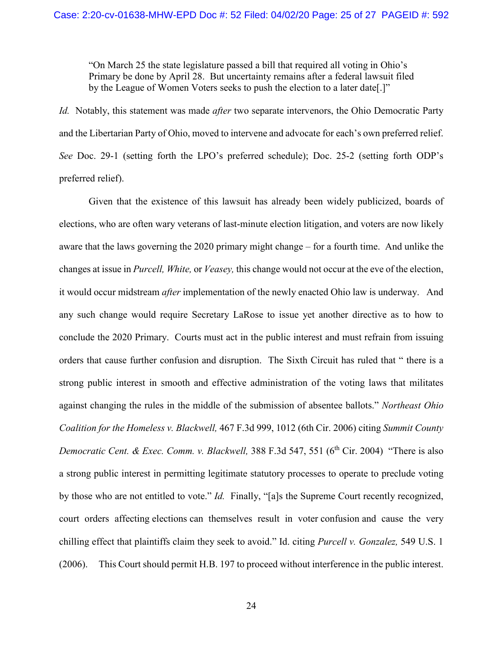"On March 25 the state legislature passed a bill that required all voting in Ohio's Primary be done by April 28. But uncertainty remains after a federal lawsuit filed by the League of Women Voters seeks to push the election to a later date[.]"

*Id.* Notably, this statement was made *after* two separate intervenors, the Ohio Democratic Party and the Libertarian Party of Ohio, moved to intervene and advocate for each's own preferred relief. *See* Doc. 29-1 (setting forth the LPO's preferred schedule); Doc. 25-2 (setting forth ODP's preferred relief).

Given that the existence of this lawsuit has already been widely publicized, boards of elections, who are often wary veterans of last-minute election litigation, and voters are now likely aware that the laws governing the 2020 primary might change – for a fourth time. And unlike the changes at issue in *Purcell, White,* or *Veasey,* this change would not occur at the eve of the election, it would occur midstream *after* implementation of the newly enacted Ohio law is underway. And any such change would require Secretary LaRose to issue yet another directive as to how to conclude the 2020 Primary. Courts must act in the public interest and must refrain from issuing orders that cause further confusion and disruption. The Sixth Circuit has ruled that " there is a strong public interest in smooth and effective administration of the voting laws that militates against changing the rules in the middle of the submission of absentee ballots." *Northeast Ohio Coalition for the Homeless v. Blackwell,* 467 F.3d 999, 1012 (6th Cir. 2006) citing *Summit County Democratic Cent. & Exec. Comm. v. Blackwell,* 388 F.3d 547, 551 (6<sup>th</sup> Cir. 2004) "There is also a strong public interest in permitting legitimate statutory processes to operate to preclude voting by those who are not entitled to vote." *Id.* Finally, "[a]s the Supreme Court recently recognized, court orders affecting elections can themselves result in voter confusion and cause the very chilling effect that plaintiffs claim they seek to avoid." Id. citing *Purcell v. Gonzalez,* 549 U.S. 1 (2006). This Court should permit H.B. 197 to proceed without interference in the public interest.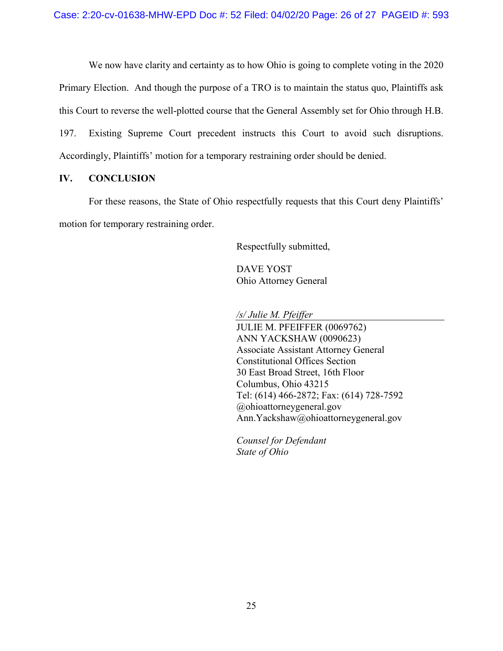We now have clarity and certainty as to how Ohio is going to complete voting in the 2020 Primary Election. And though the purpose of a TRO is to maintain the status quo, Plaintiffs ask this Court to reverse the well-plotted course that the General Assembly set for Ohio through H.B. 197. Existing Supreme Court precedent instructs this Court to avoid such disruptions. Accordingly, Plaintiffs' motion for a temporary restraining order should be denied.

## **IV. CONCLUSION**

For these reasons, the State of Ohio respectfully requests that this Court deny Plaintiffs' motion for temporary restraining order.

Respectfully submitted,

DAVE YOST Ohio Attorney General

*/s/ Julie M. Pfeiffer*

JULIE M. PFEIFFER (0069762) ANN YACKSHAW (0090623) Associate Assistant Attorney General Constitutional Offices Section 30 East Broad Street, 16th Floor Columbus, Ohio 43215 Tel: (614) 466-2872; Fax: (614) 728-7592 @ohioattorneygeneral.gov Ann.Yackshaw@ohioattorneygeneral.gov

*Counsel for Defendant State of Ohio*